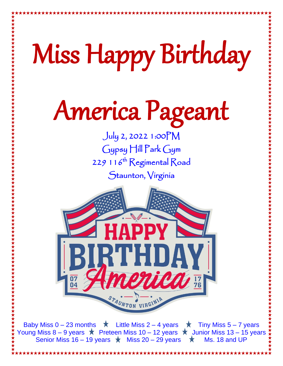# Miss Happy Birthday America Pageant July 2, 2022 1:00PM Gypsy Hill Park Gym 229 116<sup>th</sup> Regimental Road Staunton, Virginia

Baby Miss  $0 - 23$  months  $\star$  Little Miss 2 – 4 years  $\star$  Tiny Miss 5 – 7 years Young Miss 8 – 9 years  $\star$  Preteen Miss 10 – 12 years  $\star$  Junior Miss 13 – 15 years Senior Miss 16 – 19 years  $\star$  Miss 20 – 29 years  $\star$  Ms. 18 and UP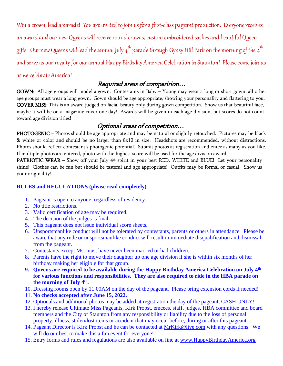Win a crown, lead a parade! You are invited to join us for a first-class pageant production. Everyone receives an award and our new Queens will receive round crowns, custom embroidered sashes and beautiful Queen gifts. Our new Queens will lead the annual July 4<sup>th</sup> parade through Gypsy Hill Park on the morning of the 4<sup>th</sup> and serve as our royalty for our annual Happy Birthday America Celebration in Staunton! Please come join us as we celebrate America!

### Required areas of competition…

GOWN: All age groups will model a gown. Contestants in Baby – Young may wear a long or short gown, all other age groups must wear a long gown. Gown should be age appropriate, showing your personality and flattering to you. COVER MISS: This is an award judged on facial beauty only during gown competition. Show us that beautiful face, maybe it will be on a magazine cover one day! Awards will be given in each age division, but scores do not count toward age division titles!

## Optional areas of competition…

PHOTOGENIC – Photos should be age appropriate and may be natural or slightly retouched. Pictures may be black & white or color and should be no larger than 8x10 in size. Headshots are recommended, without distractions. Photos should reflect contestant's photogenic potential. Submit photos at registration and enter as many as you like. If multiple photos are entered, photo with the highest score will be used for the age division award.

PATRIOTIC WEAR – Show off your July 4<sup>th</sup> spirit in your best RED, WHITE and BLUE! Let your personality shine! Clothes can be fun but should be tasteful and age appropriate! Outfits may be formal or casual. Show us your originality!

### **RULES and REGULATIONS (please read completely)**

- 1. Pageant is open to anyone, regardless of residency.
- 2. No title restrictions.
- 3. Valid certification of age may be required.
- 4. The decision of the judges is final.
- 5. This pageant does not issue individual score sheets.
- 6. Unsportsmanlike conduct will not be tolerated by contestants, parents or others in attendance. Please be aware that any rude or unsportsmanlike conduct will result in immediate disqualification and dismissal from the pageant.
- 7. Contestants except Ms. must have never been married or had children.
- 8. Parents have the right to move their daughter up one age division if she is within six months of her birthday making her eligible for that group.
- **9. Queens are required to be available during the Happy Birthday America Celebration on July 4th for various functions and responsibilities. They are also required to ride in the HBA parade on the morning of July 4th .**
- 10. Dressing rooms open by 11:00AM on the day of the pageant. Please bring extension cords if needed!
- 11. **No checks accepted after June 15, 2022.**
- 12. Optionals and additional photos may be added at registration the day of the pageant, CASH ONLY!
- 13. I hereby release Ultimate Miss Pageants, Kirk Propst, emcees, staff, judges, HBA committee and board members and the City of Staunton from any responsibility or liability due to the loss of personal property, illness, stolen/lost items or accident that may occur before, during or after this pageant.
- 14. Pageant Director is Kirk Propst and he can be contacted at [MrKirk@live.com](mailto:MrKirk@live.com) with any questions. We will do our best to make this a fun event for everyone!
- 15. Entry forms and rules and regulations are also available on line at [www.HappyBirthdayAmerica.org](http://www.stauntonjulyfourth.com/)